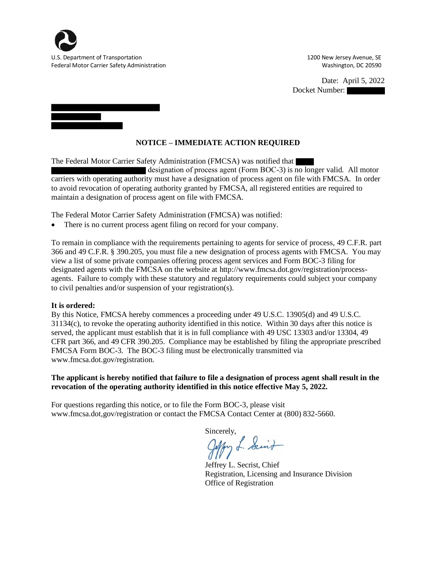

Federal Motor Carrier Safety Administration Number 200590 Number 200590 Number 200590

I

U.S. Department of Transportation 1200 New Jersey Avenue, SE

Date: April 5, 2022 Docket Number:

**NOTICE – IMMEDIATE ACTION REQUIRED**

The Federal Motor Carrier Safety Administration (FMCSA) was notified that designation of process agent (Form BOC-3) is no longer valid. All motor carriers with operating authority must have a designation of process agent on file with FMCSA. In order to avoid revocation of operating authority granted by FMCSA, all registered entities are required to

The Federal Motor Carrier Safety Administration (FMCSA) was notified:

There is no current process agent filing on record for your company.

maintain a designation of process agent on file with FMCSA.

To remain in compliance with the requirements pertaining to agents for service of process, 49 C.F.R. part 366 and 49 C.F.R. § 390.205, you must file a new designation of process agents with FMCSA. You may view a list of some private companies offering process agent services and Form BOC-3 filing for designated agents with the FMCSA on the website at http://www.fmcsa.dot.gov/registration/processagents. Failure to comply with these statutory and regulatory requirements could subject your company to civil penalties and/or suspension of your registration(s).

## **It is ordered:**

By this Notice, FMCSA hereby commences a proceeding under 49 U.S.C. 13905(d) and 49 U.S.C. 31134(c), to revoke the operating authority identified in this notice. Within 30 days after this notice is served, the applicant must establish that it is in full compliance with 49 USC 13303 and/or 13304, 49 CFR part 366, and 49 CFR 390.205. Compliance may be established by filing the appropriate prescribed FMCSA Form BOC-3. The BOC-3 filing must be electronically transmitted via www.fmcsa.dot.gov/registration.

## **The applicant is hereby notified that failure to file a designation of process agent shall result in the revocation of the operating authority identified in this notice effective May 5, 2022.**

For questions regarding this notice, or to file the Form BOC-3, please visit www.fmcsa.dot,gov/registration or contact the FMCSA Contact Center at (800) 832-5660.

Sincerely,<br>Jeffory L. Suit

Jeffrey L. Secrist, Chief Registration, Licensing and Insurance Division Office of Registration